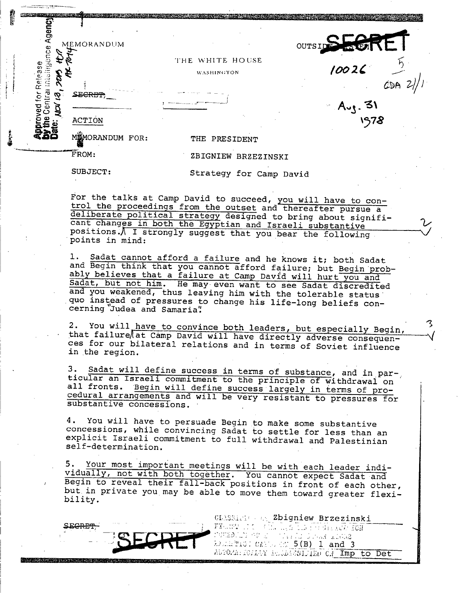| Ager<br>Ф | MEMORANDUM               | OUTSIDS SOR             |
|-----------|--------------------------|-------------------------|
| S         |                          | THE WHITE HOUSE         |
| lease     |                          | 10026<br>WASHINGTON     |
|           |                          |                         |
| ē         | <b>SE<del>CRET</del></b> | $A_{\nu}$ . 31          |
|           | <b>ACTION</b>            | 1978                    |
|           | MEMORANDUM FOR:          | THE PRESIDENT           |
|           | FROM:                    | ZBIGNIEW BRZEZINSKI     |
|           | SUBJECT:                 | Strategy for Camp David |

For the talks at Camp David to succeed, you will have to con-<br>trol the proceedings from the outset and thereafter pursue a deliberate political strategy designed to bring about significant changes in both the Egyptian and Israeli substantive positions.\ I strongly suggest that you bear the following points in mind:

1. Sadat cannot afford a failure and he knows it; both Sadat<br>and Begin think that you cannot afford failure; but Begin prob-<br>ably believes that a failure at Camp David will hurt you and Sadat, but not him. He may- even want to see Sadat discredited and you weakened, thus leaving him with the tolerable status .quo instead of pressures to change his life-long beliefs con- cerning Judea and Samaria'.

2. You will have to convince both leaders, but especially Begin,<br>that failure at Camp David will have directly adverse consequences for our bilateral relations and in terms of Soviet influence in the region.

3. Sadat will define success in terms of substance, and in particular an Israeli commitment to the principle of withdrawal on all fronts. Begin will define success largely in terms of pro-<br>cedural arrangements and will be

4. You will have to persuade Begin to make some substantive concessions, while convincing Sadat to settle for less than an explicit Israeli commitment to full withdrawal and Palestinian self-determination.

5. Your most important meetings will be with each leader indi-<br>vidually, not with both together. You cannot expect Sadat and Begin to reveal their fall-back positions in front of each other, but in private you may be able to move them toward greater flexibility.



CLASSING AN Zbigniew Brzezinski  $J_{\rm 2}$ .  $J_{\rm 3}$  and  $J_{\rm 3}$  and  $J_{\rm 3}$  and  $J_{\rm 3}$  and  $J_{\rm 3}$  and  $J_{\rm 3}$ AUTOMA: ICALANY implasaSilahan CA Imp to Det 3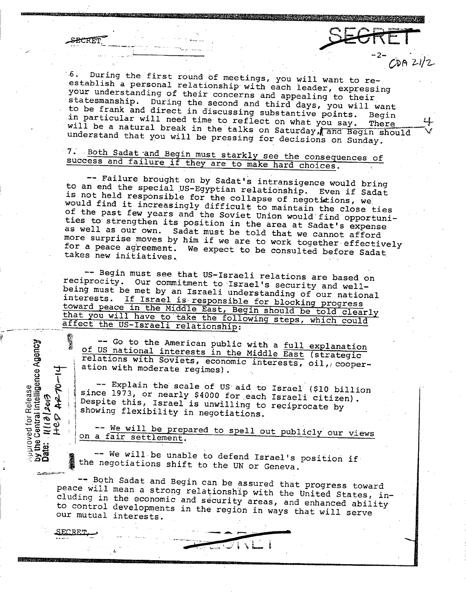**ECRET** 

**.6. establish 6.** During the first round of meetings, you will want to re-<br>establish a personal relationship with each leader, expressing<br>your understanding of their concerns and appealing to their<br>statesmanship During the **to be frank and direct in discussing substantive points. Begin statesmanship. During the second and third days, you will want** in particular will need time to reflect on what you say. **will**  in particular will need time to reflect on what you say. There<br>will be a natural break in the talks on Saturday, and Begin should<br>understand that you will be pressing for decisions on Sunday.

**-2-**

*GD(* 21/Z.

## success and failure if they are to make hard choices. 7. Both Sadat and Begin must starkly see the consequences of

to an end the special US-Egyptian relationship. Even if Sadat -- **Failure brought on by Sadat's intransigence would bring is not**  is not held responsible for the collapse of negotitions, we.<br>would find it increasingly difficult to maintain the close ties of the past few years and the Soviet Union would find opportuni-<br>ties to strengthen its position in the area at Sadat's expense<br>as well as our own. Sadat must be told that we cannot afford more surprise moves by him if we are to work together effectively **takes**  for a peace agreement. We expect to be consulted before Sadat

-- Begin must see that US-Israeli relations are based on reciprocity. Our commitment to Israel's security and wellbeing must be met by an Israeli understanding of our national<br>interests. If Israel is responsible for blocking progress<br>toward peace in the Middle East, Begin should be told clearly<br>that you will have to take the following

-- Go to the American public with a <u>full explanation</u><br>of US national interests in the Middle East (strategic<br>relations with Soviets, economic interests, oil, cooper-<br>ation with moderate reqimes). **co c** to the American public with a <u>full explanant cf</u> US national interests in the Middle East (strate relations with Soviets, economic interests, oil, complement ation with moderate regimes).<br> **c** and  $R$   $\sim$  **C**  $\$ 

-- Explain the scale of US aid to Israel (\$10 billion since 1973, or nearly \$4000 for each Israeli citizen).

**-- We will be prepared to spell out publicly our views ' oa fair settlement.**

**-- We will be unable to defend Israel's position if the negotiations shift to the UN or Geneva.**

peace will mean a strong relationship with the United States, in--- Both **Sadat and Begin can be assured that progress toward cluding in the economic and security areas, and enhanced abilit developments in the region in** ways that will serve to control developments in the region in ways that will serve **our mutual interests.**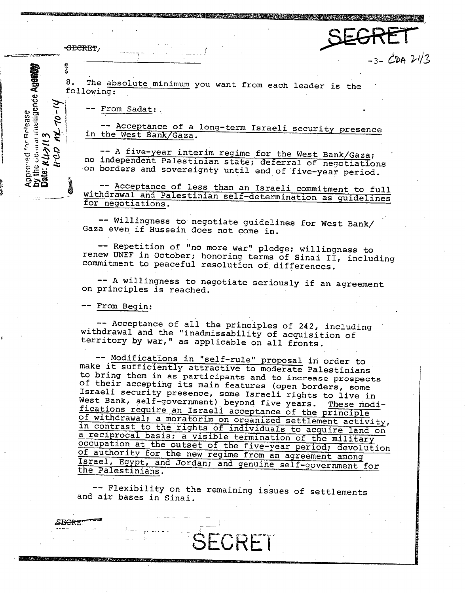SECRET/

医念

Date:  $N(J)$ 

8. The absolute minimum you want from each leader is the following:

-- From Sadat:

 $-3-CDA$   $21/3$ 

3<br>
Sollowing:<br>  $\begin{array}{r} \text{S. The absolute minimum you want from each leader is the following:} \\ \text{following:} \\ \text{c. } \text{c. } \text{c. } \text{c. } \text{d. } \text{d. } \text{d. } \text{d. } \text{d. } \text{d. } \text{d. } \text{d. } \text{d. } \text{d. } \text{d. } \text{d. } \text{d. } \text{d. } \text{d. } \text{d. } \text{d. } \text{d. } \text{d. } \text{d. } \text{d. } \text{d. } \text{d. } \text{d. } \text{$ -- A five-year interim regime for the West Bank/Gaza; no independent Palestinian state; deferral of negotiations on borders and sovereignty until end of five-year period.

-- Acceptance of less than an Israeli commitment to full withdrawal and Palestinian self-determination as guidelines for negotiations.

-- Willingness to negotiate guidelines for West Bank/ Gaza even if Hussein does not come. in.

-- Repetition of "no more war" pledge; willingness to renew UNEF in October; honoring terms of Sinai II, including commitment to peaceful resolution of differences.

-- A willingness to negotiate seriously if an agreement on principles is reached.

-- From Begin:

-- Acceptance of all the principles of 242, including territory by war," as applicable on all fronts. withdrawal and the "inadmissability of acquisition of

-- Modifications in "self-rule" proposal in order to **make** it sufficiently attractive to moderate Palestinians of their accepting its main features (open borders, some<br>Israeli security presence, some Israeli rights to live in<br>West Bank, self-government) beyond five years. These modi-<br>fications require an Israeli acceptance of the p occupation at the outset of the five-year period; devolution<br>of authority for the new regime from an agreement among<br>Israel, Egypt, and Jordan; and genuine self-government for<br>the Palestinians.

-- Flexibility on the remaining issues of settlements and air bases in Sinai.

**ji** Wanda iyo Marejeo wa Marejeo wa Marejeo wa Marejeo wa Marejeo wa Marejeo wa Marejeo wa Marejeo wa Marejeo wa Marejeo wa Marejeo wa Marejeo wa Marejeo wa Marejeo wa Marejeo wa Marejeo wa Marejeo wa Marejeo wa Marejeo w

**SECRT**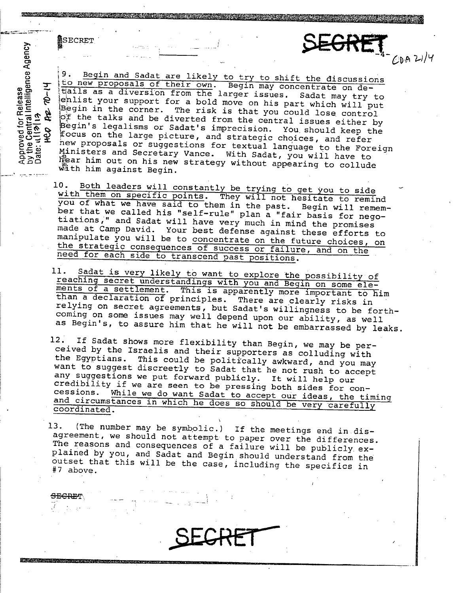SECRET

<del>SECRE</del>T

Solution of the talks and be diverted from the contrate on de-<br>
Solution of the discussions of their own. Begin may concentrate on de-<br>
Solution of the discussion from the larger issues. Sadat may try to<br>
define the likely to new proposals of their own. Begin may concentrate on de-<br>tails as a diversion from the larger issues. Sadat may try to  $\hat{e}$  enlist When the larger issues. Sadat may try to<br>dentist your support for a bold move on his part which will put<br>begin in the corner. The risk is that you could lose control<br>control of the talks and be diverted from the central is focus on the large picture, and strategic choices, and refer<br>new proposals or suggestions for textual language to the Foreign<br>Ministers and Secretary Vance. With Sadat, you will have to Ministers proposals or sadat's imprecision. You should keep the Foreign and Secretary and Secretary Vance. With Sadat, you will have to C~ hear him out on his new strategy without appearing to collude wath him against Begi

 $CDA$   $21/4$ 

- 10. Both leaders will constantly be trying to get you to side<br>with them on specific points. They will not hesitate to remind<br>you of what we have said to them in the past. Begin will remember that we called his "self-rule" plan a "fair basis for nego-<br>tiations," and Sadat will have very much in mind the promises<br>made at Camp David. Your best defense against these efforts to<br>manipulate you will be to concent
- 11. Sadat is very likely to want to explore the possibility of reaching secret understandings with you and Begin on some ele-<br>ments of a settlement. This is apparently more important to him reaching secret than a declaration of principles. There are clearly risks in relying on secret agreements, but Sadat's willingness to be forth- coming on some issues may well depend upon our ability, as well as Begin's, to assure him that he will not be embarrassed by leaks.
- 12. If Sadat shows more flexibility than Begin, we may be per-<br>ceived by the Israelis and their supporters as colluding with<br>the Egyptians. This could be politically awkward, and you may<br>want to suggest discreetly to Sadat

13. (The number may be symbolic.) If the meetings end in dis-<br>agreement, we should not attempt to paper over the differences.<br>The reasons and consequences of a failure will be publicly ex-<br>plained by you, and Sadat and Beg